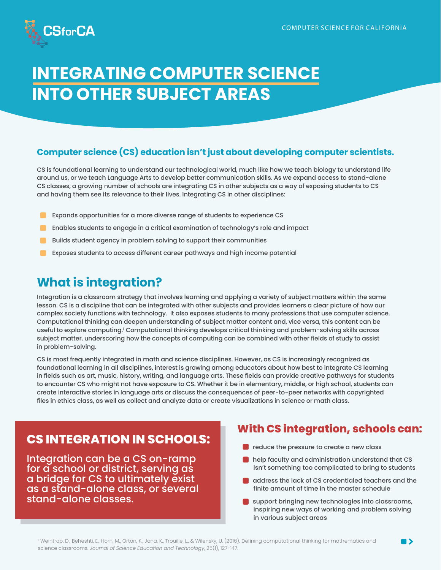

# **INTEGRATING COMPUTER SCIENCE INTO OTHER SUBJECT AREAS**

### **Computer science (CS) education isn't just about developing computer scientists.**

CS is foundational learning to understand our technological world, much like how we teach biology to understand life around us, or we teach Language Arts to develop better communication skills. As we expand access to stand-alone CS classes, a growing number of schools are integrating CS in other subjects as a way of exposing students to CS and having them see its relevance to their lives. Integrating CS in other disciplines:

- Expands opportunities for a more diverse range of students to experience CS
- Enables students to engage in a critical examination of technology's role and impact
- Builds student agency in problem solving to support their communities
- Exposes students to access different career pathways and high income potential

# **What is integration?**

Integration is a classroom strategy that involves learning and applying a variety of subject matters within the same lesson. CS is a discipline that can be integrated with other subjects and provides learners a clear picture of how our complex society functions with technology. It also exposes students to many professions that use computer science. Computational thinking can deepen understanding of subject matter content and, vice versa, this content can be useful to explore computing.' Computational thinking develops critical thinking and problem-solving skills across subject matter, underscoring how the concepts of computing can be combined with other fields of study to assist in problem-solving.

CS is most frequently integrated in math and science disciplines. However, as CS is increasingly recognized as foundational learning in all disciplines, interest is growing among educators about how best to integrate CS learning in fields such as art, music, history, writing, and language arts. These fields can provide creative pathways for students to encounter CS who might not have exposure to CS. Whether it be in elementary, middle, or high school, students can create interactive stories in language arts or discuss the consequences of peer-to-peer networks with copyrighted files in ethics class, as well as collect and analyze data or create visualizations in science or math class.

## **CS INTEGRATION IN SCHOOLS:**

Integration can be a CS on-ramp for a school or district, serving as a bridge for CS to ultimately exist as a stand-alone class, or several stand-alone classes.

## **With CS integration, schools can:**

- reduce the pressure to create a new class
- **n** help faculty and administration understand that CS isn't something too complicated to bring to students
- **address the lack of CS credentialed teachers and the** finite amount of time in the master schedule
- support bringing new technologies into classrooms, inspiring new ways of working and problem solving in various subject areas